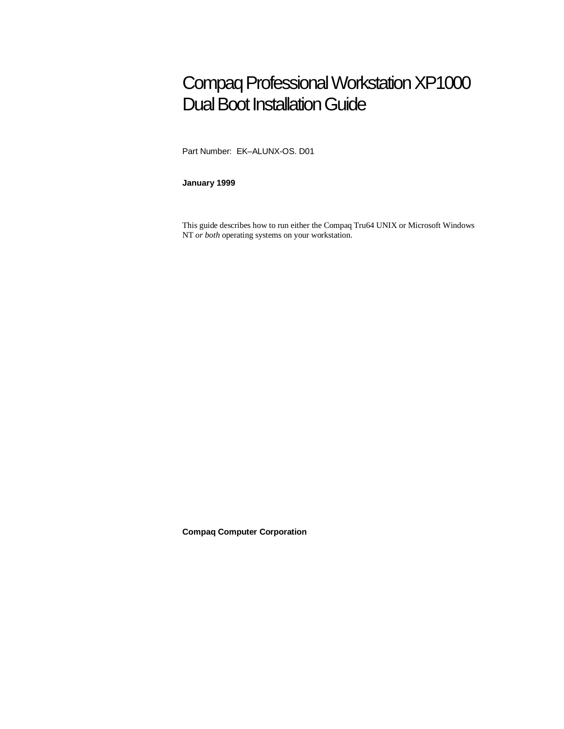# Compaq Professional Workstation XP1000 Dual Boot Installation Guide

Part Number: EK–ALUNX-OS. D01

**January 1999**

This guide describes how to run either the Compaq Tru64 UNIX or Microsoft Windows NT *or both* operating systems on your workstation.

**Compaq Computer Corporation**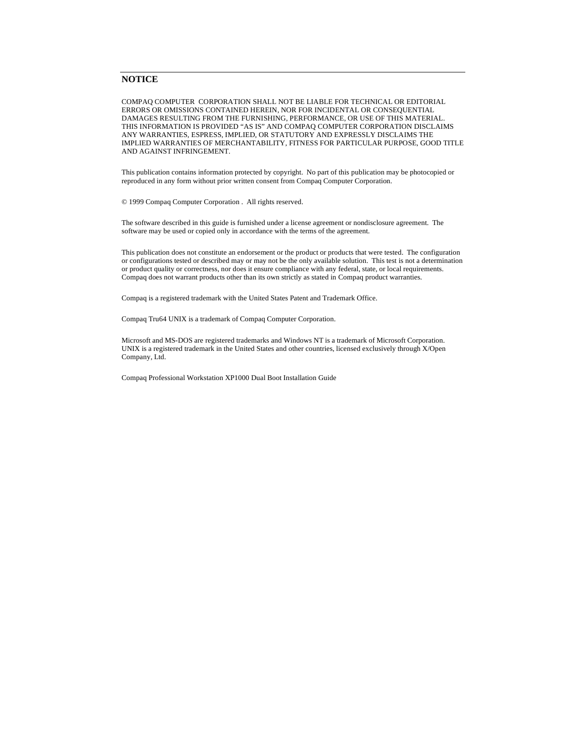#### **NOTICE**

COMPAQ COMPUTER CORPORATION SHALL NOT BE LIABLE FOR TECHNICAL OR EDITORIAL ERRORS OR OMISSIONS CONTAINED HEREIN, NOR FOR INCIDENTAL OR CONSEQUENTIAL DAMAGES RESULTING FROM THE FURNISHING, PERFORMANCE, OR USE OF THIS MATERIAL. THIS INFORMATION IS PROVIDED "AS IS" AND COMPAQ COMPUTER CORPORATION DISCLAIMS ANY WARRANTIES, ESPRESS, IMPLIED, OR STATUTORY AND EXPRESSLY DISCLAIMS THE IMPLIED WARRANTIES OF MERCHANTABILITY, FITNESS FOR PARTICULAR PURPOSE, GOOD TITLE AND AGAINST INFRINGEMENT.

This publication contains information protected by copyright. No part of this publication may be photocopied or reproduced in any form without prior written consent from Compaq Computer Corporation.

© 1999 Compaq Computer Corporation . All rights reserved.

The software described in this guide is furnished under a license agreement or nondisclosure agreement. The software may be used or copied only in accordance with the terms of the agreement.

This publication does not constitute an endorsement or the product or products that were tested. The configuration or configurations tested or described may or may not be the only available solution. This test is not a determination or product quality or correctness, nor does it ensure compliance with any federal, state, or local requirements. Compaq does not warrant products other than its own strictly as stated in Compaq product warranties.

Compaq is a registered trademark with the United States Patent and Trademark Office.

Compaq Tru64 UNIX is a trademark of Compaq Computer Corporation.

Microsoft and MS-DOS are registered trademarks and Windows NT is a trademark of Microsoft Corporation. UNIX is a registered trademark in the United States and other countries, licensed exclusively through X/Open Company, Ltd.

Compaq Professional Workstation XP1000 Dual Boot Installation Guide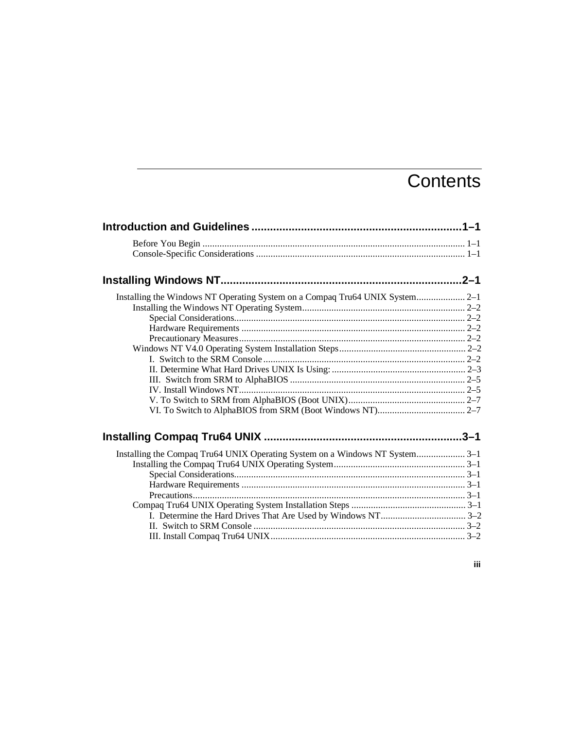# **Contents**

| Installing the Windows NT Operating System on a Compaq Tru64 UNIX System 2-1 |  |
|------------------------------------------------------------------------------|--|
|                                                                              |  |
|                                                                              |  |
|                                                                              |  |
|                                                                              |  |
|                                                                              |  |
|                                                                              |  |
|                                                                              |  |
|                                                                              |  |
|                                                                              |  |
|                                                                              |  |
|                                                                              |  |
|                                                                              |  |
| Installing the Compaq Tru64 UNIX Operating System on a Windows NT System3-1  |  |
|                                                                              |  |
|                                                                              |  |
|                                                                              |  |
|                                                                              |  |
|                                                                              |  |
|                                                                              |  |
|                                                                              |  |
|                                                                              |  |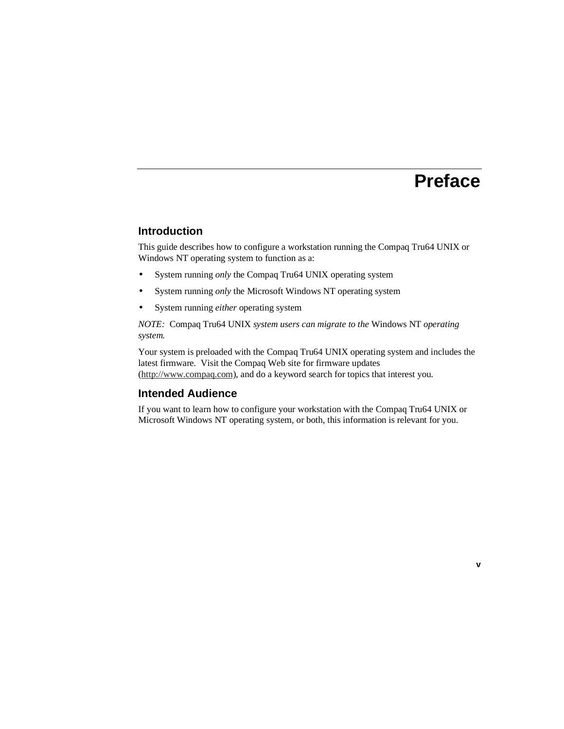# **Preface**

#### **Introduction**

This guide describes how to configure a workstation running the Compaq Tru64 UNIX or Windows NT operating system to function as a:

- System running *only* the Compaq Tru64 UNIX operating system
- System running *only* the Microsoft Windows NT operating system
- System running *either* operating system

*NOTE:* Compaq Tru64 UNIX *system users can migrate to the* Windows NT *operating system.*

Your system is preloaded with the Compaq Tru64 UNIX operating system and includes the latest firmware. Visit the Compaq Web site for firmware updates (http://www.compaq.com), and do a keyword search for topics that interest you.

## **Intended Audience**

If you want to learn how to configure your workstation with the Compaq Tru64 UNIX or Microsoft Windows NT operating system, or both, this information is relevant for you.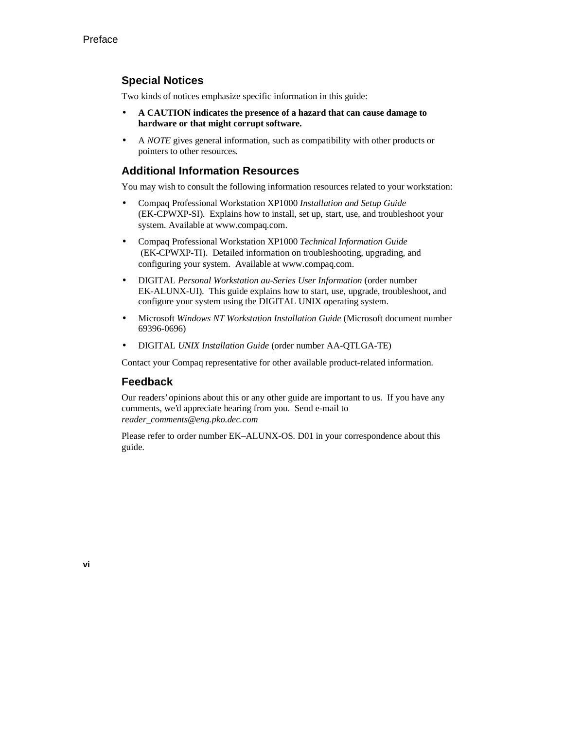# **Special Notices**

Two kinds of notices emphasize specific information in this guide:

- **A CAUTION indicates the presence of a hazard that can cause damage to hardware or that might corrupt software.**
- A *NOTE* gives general information, such as compatibility with other products or pointers to other resources.

## **Additional Information Resources**

You may wish to consult the following information resources related to your workstation:

- Compaq Professional Workstation XP1000 *Installation and Setup Guide* (EK-CPWXP-SI). Explains how to install, set up, start, use, and troubleshoot your system. Available at www.compaq.com.
- Compaq Professional Workstation XP1000 *Technical Information Guide* (EK-CPWXP-TI). Detailed information on troubleshooting, upgrading, and configuring your system. Available at www.compaq.com.
- DIGITAL *Personal Workstation au-Series User Information* (order number EK-ALUNX-UI). This guide explains how to start, use, upgrade, troubleshoot, and configure your system using the DIGITAL UNIX operating system.
- Microsoft *Windows NT Workstation Installation Guide* (Microsoft document number 69396-0696)
- DIGITAL *UNIX Installation Guide* (order number AA-QTLGA-TE)

Contact your Compaq representative for other available product-related information.

## **Feedback**

Our readers' opinions about this or any other guide are important to us. If you have any comments, we'd appreciate hearing from you. Send e-mail to *reader\_comments@eng.pko.dec.com*

Please refer to order number EK–ALUNX-OS. D01 in your correspondence about this guide.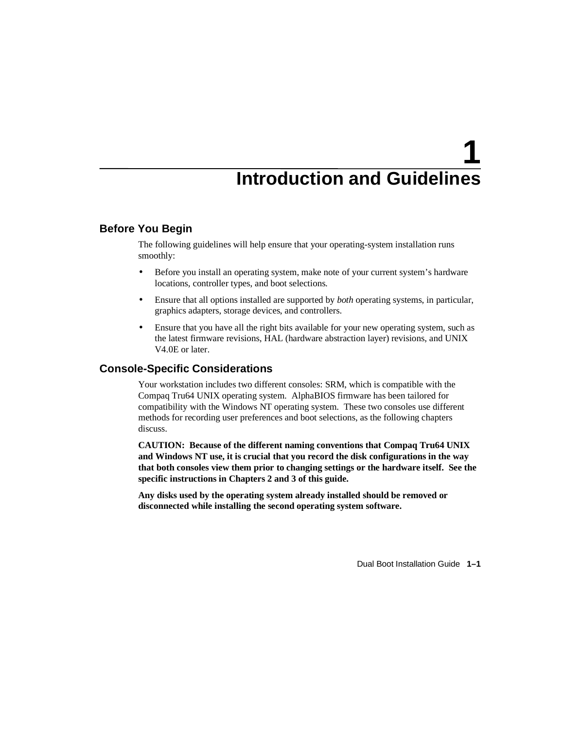# **1 Introduction and Guidelines**

#### **Before You Begin**

The following guidelines will help ensure that your operating-system installation runs smoothly:

- Before you install an operating system, make note of your current system's hardware locations, controller types, and boot selections.
- Ensure that all options installed are supported by *both* operating systems, in particular, graphics adapters, storage devices, and controllers.
- Ensure that you have all the right bits available for your new operating system, such as the latest firmware revisions, HAL (hardware abstraction layer) revisions, and UNIX V4.0E or later.

#### **Console-Specific Considerations**

Your workstation includes two different consoles: SRM, which is compatible with the Compaq Tru64 UNIX operating system. AlphaBIOS firmware has been tailored for compatibility with the Windows NT operating system. These two consoles use different methods for recording user preferences and boot selections, as the following chapters discuss.

**CAUTION: Because of the different naming conventions that Compaq Tru64 UNIX and Windows NT use, it is crucial that you record the disk configurations in the way that both consoles view them prior to changing settings or the hardware itself. See the specific instructions in Chapters 2 and 3 of this guide.**

**Any disks used by the operating system already installed should be removed or disconnected while installing the second operating system software.**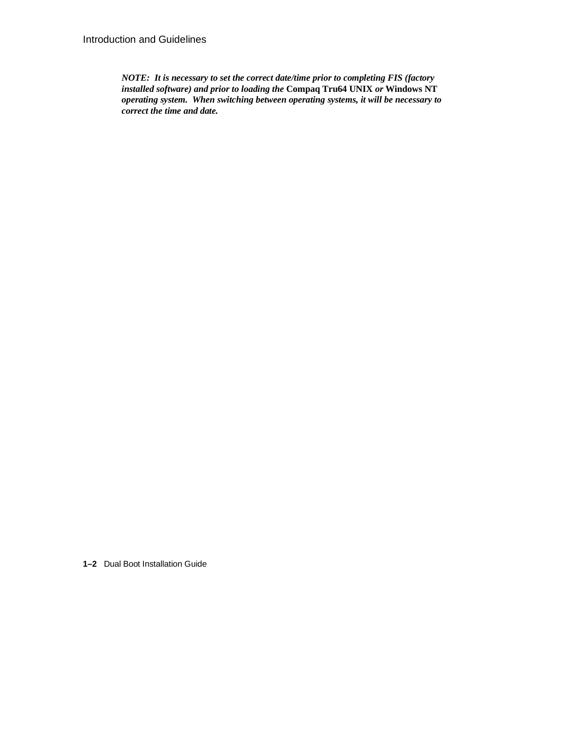*NOTE: It is necessary to set the correct date/time prior to completing FIS (factory installed software) and prior to loading the* **Compaq Tru64 UNIX** *or* **Windows NT** *operating system. When switching between operating systems, it will be necessary to correct the time and date.*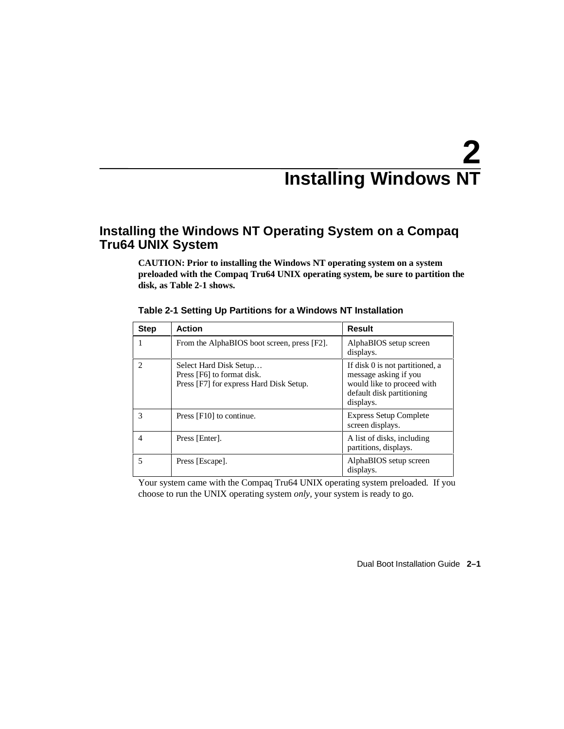# **2 Installing Windows NT**

# **Installing the Windows NT Operating System on a Compaq Tru64 UNIX System**

**CAUTION: Prior to installing the Windows NT operating system on a system preloaded with the Compaq Tru64 UNIX operating system, be sure to partition the disk, as Table 2-1 shows.**

| <b>Step</b> | <b>Action</b>                                                                                   | Result                                                                                                                           |
|-------------|-------------------------------------------------------------------------------------------------|----------------------------------------------------------------------------------------------------------------------------------|
|             | From the AlphaBIOS boot screen, press [F2].                                                     | AlphaBIOS setup screen<br>displays.                                                                                              |
| 2           | Select Hard Disk Setup<br>Press [F6] to format disk.<br>Press [F7] for express Hard Disk Setup. | If disk 0 is not partitioned, a<br>message asking if you<br>would like to proceed with<br>default disk partitioning<br>displays. |
| 3           | Press [F10] to continue.                                                                        | <b>Express Setup Complete</b><br>screen displays.                                                                                |
| 4           | Press [Enter].                                                                                  | A list of disks, including<br>partitions, displays.                                                                              |
|             | Press [Escape].                                                                                 | AlphaBIOS setup screen<br>displays.                                                                                              |

|  |  |  | Table 2-1 Setting Up Partitions for a Windows NT Installation |
|--|--|--|---------------------------------------------------------------|
|  |  |  |                                                               |

Your system came with the Compaq Tru64 UNIX operating system preloaded. If you choose to run the UNIX operating system *only,* your system is ready to go.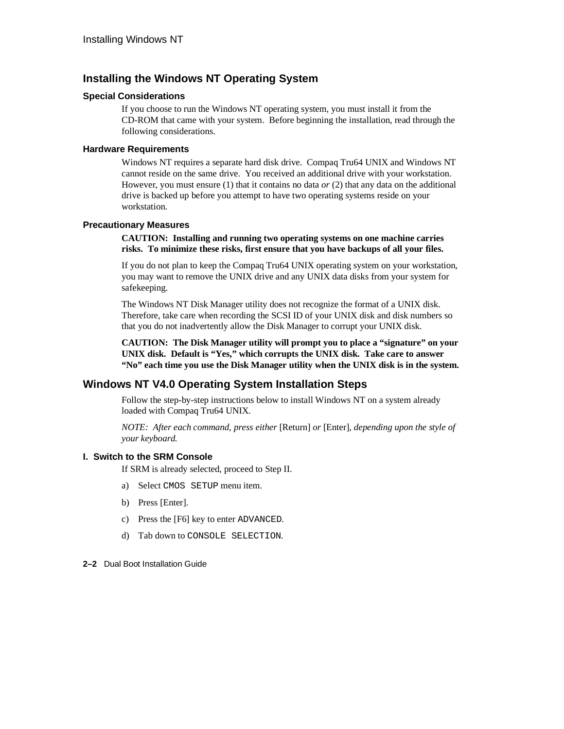# **Installing the Windows NT Operating System**

#### **Special Considerations**

If you choose to run the Windows NT operating system, you must install it from the CD-ROM that came with your system. Before beginning the installation, read through the following considerations.

#### **Hardware Requirements**

Windows NT requires a separate hard disk drive. Compaq Tru64 UNIX and Windows NT cannot reside on the same drive. You received an additional drive with your workstation. However, you must ensure (1) that it contains no data *or* (2) that any data on the additional drive is backed up before you attempt to have two operating systems reside on your workstation.

#### **Precautionary Measures**

**CAUTION: Installing and running two operating systems on one machine carries risks. To minimize these risks, first ensure that you have backups of all your files.**

If you do not plan to keep the Compaq Tru64 UNIX operating system on your workstation, you may want to remove the UNIX drive and any UNIX data disks from your system for safekeeping.

The Windows NT Disk Manager utility does not recognize the format of a UNIX disk. Therefore, take care when recording the SCSI ID of your UNIX disk and disk numbers so that you do not inadvertently allow the Disk Manager to corrupt your UNIX disk.

**CAUTION: The Disk Manager utility will prompt you to place a "signature" on your UNIX disk. Default is "Yes," which corrupts the UNIX disk. Take care to answer "No" each time you use the Disk Manager utility when the UNIX disk is in the system.**

# **Windows NT V4.0 Operating System Installation Steps**

Follow the step-by-step instructions below to install Windows NT on a system already loaded with Compaq Tru64 UNIX.

*NOTE: After each command, press either* [Return] *or* [Enter], *depending upon the style of your keyboard.*

#### **I. Switch to the SRM Console**

If SRM is already selected, proceed to Step II.

- a) Select CMOS SETUP menu item.
- b) Press [Enter].
- c) Press the [F6] key to enter ADVANCED.
- d) Tab down to CONSOLE SELECTION.
- **2–2** Dual Boot Installation Guide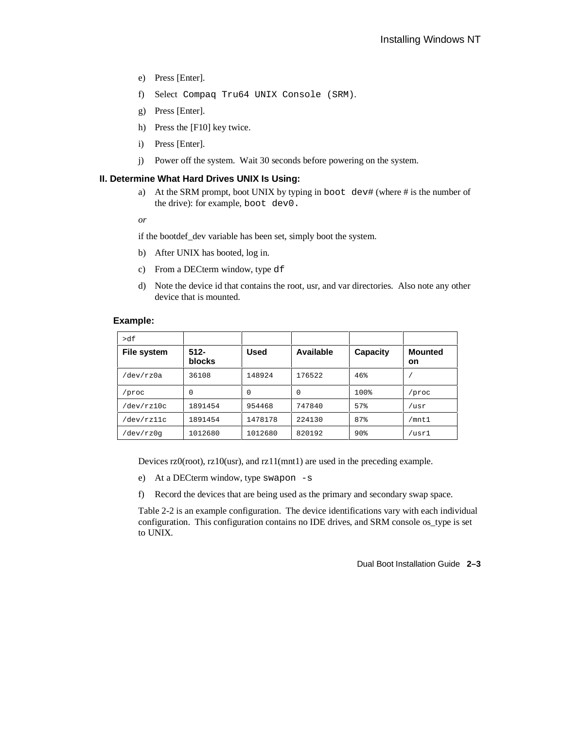- e) Press [Enter].
- f) Select Compaq Tru64 UNIX Console (SRM).
- g) Press [Enter].
- h) Press the [F10] key twice.
- i) Press [Enter].
- j) Power off the system. Wait 30 seconds before powering on the system.

#### **II. Determine What Hard Drives UNIX Is Using:**

- a) At the SRM prompt, boot UNIX by typing in boot dev# (where # is the number of the drive): for example, boot dev0.
- *or*

if the bootdef\_dev variable has been set, simply boot the system.

- b) After UNIX has booted, log in.
- c) From a DECterm window, type df
- d) Note the device id that contains the root, usr, and var directories. Also note any other device that is mounted.

#### **Example:**

| >df         |                   |         |           |          |                      |
|-------------|-------------------|---------|-----------|----------|----------------------|
| File system | $512 -$<br>blocks | Used    | Available | Capacity | <b>Mounted</b><br>on |
| dev/rz0a    | 36108             | 148924  | 176522    | 46%      |                      |
| 'proc       | 0                 | 0       | 0         | 100%     | /proc                |
| /dev/rz10c  | 1891454           | 954468  | 747840    | 57%      | /usr                 |
| dev/rz11c   | 1891454           | 1478178 | 224130    | 87%      | /mnt1                |
| dev/rz0q    | 1012680           | 1012680 | 820192    | 90%      | /usr1                |

Devices rz0(root), rz10(usr), and rz11(mnt1) are used in the preceding example.

e) At a DECterm window, type swapon -s

f) Record the devices that are being used as the primary and secondary swap space.

Table 2-2 is an example configuration. The device identifications vary with each individual configuration. This configuration contains no IDE drives, and SRM console os\_type is set to UNIX.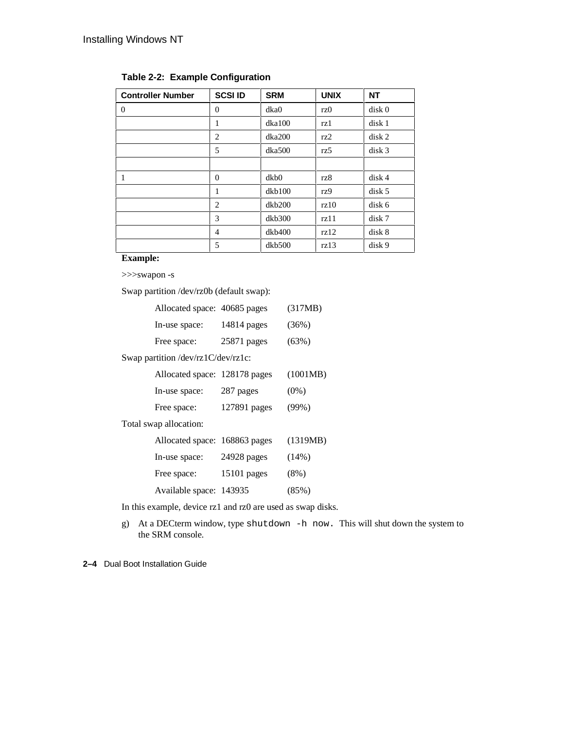| <b>Controller Number</b> | <b>SCSI ID</b> | <b>SRM</b> | <b>UNIX</b> | <b>NT</b>         |
|--------------------------|----------------|------------|-------------|-------------------|
| $\Omega$                 | $\theta$       | dka0       | rz0         | disk <sub>0</sub> |
|                          | 1              | dka100     | rz1         | disk 1            |
|                          | $\overline{2}$ | dka200     | rz2         | disk <sub>2</sub> |
|                          | 5              | dka500     | rz5         | disk <sub>3</sub> |
|                          |                |            |             |                   |
| 1                        | $\overline{0}$ | dkb0       | rz8         | disk <sub>4</sub> |
|                          | 1              | dkb100     | rz9         | disk <sub>5</sub> |
|                          | $\overline{c}$ | dkb200     | rz10        | disk 6            |
|                          | 3              | dkb300     | rz11        | disk 7            |
|                          | 4              | dkb400     | rz12        | disk 8            |
|                          | 5              | dkb500     | rz13        | disk 9            |

# **Table 2-2: Example Configuration**

#### **Example:**

>>>swapon -s

Swap partition /dev/rz0b (default swap):

| Allocated space: 40685 pages               |               | (317MB)  |
|--------------------------------------------|---------------|----------|
| In-use space:                              | $14814$ pages | (36%)    |
| Free space:                                | $25871$ pages | (63%)    |
| Swap partition /dev/rz $1C$ /dev/rz $1c$ : |               |          |
| Allocated space: 128178 pages              |               | (1001MB) |
| In-use space:                              | 287 pages     | $(0\%)$  |
| Free space:                                | 127891 pages  | $(99\%)$ |
| Total swap allocation:                     |               |          |
| Allocated space: 168863 pages              |               | (1319MB) |
| In-use space:                              | $24928$ pages | (14%)    |
| Free space:                                | 15101 pages   | $(8\%)$  |
| Available space: 143935                    |               | (85%)    |

In this example, device rz1 and rz0 are used as swap disks.

g) At a DECterm window, type shutdown -h now. This will shut down the system to the SRM console.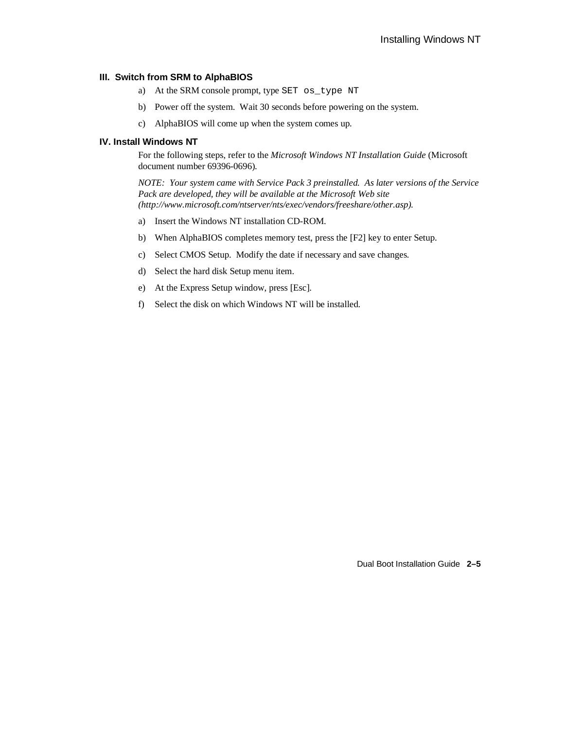#### **III. Switch from SRM to AlphaBIOS**

- a) At the SRM console prompt, type SET os\_type NT
- b) Power off the system. Wait 30 seconds before powering on the system.
- c) AlphaBIOS will come up when the system comes up.

#### **IV. Install Windows NT**

For the following steps, refer to the *Microsoft Windows NT Installation Guide* (Microsoft document number 69396-0696).

*NOTE: Your system came with Service Pack 3 preinstalled. As later versions of the Service Pack are developed, they will be available at the Microsoft Web site (http://www.microsoft.com/ntserver/nts/exec/vendors/freeshare/other.asp).*

- a) Insert the Windows NT installation CD-ROM.
- b) When AlphaBIOS completes memory test, press the [F2] key to enter Setup.
- c) Select CMOS Setup. Modify the date if necessary and save changes.
- d) Select the hard disk Setup menu item.
- e) At the Express Setup window, press [Esc].
- f) Select the disk on which Windows NT will be installed.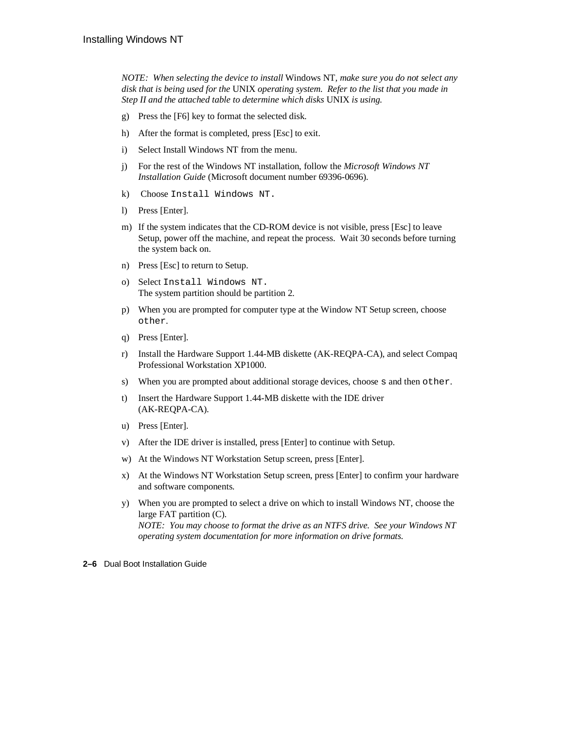*NOTE: When selecting the device to install* Windows NT*, make sure you do not select any disk that is being used for the* UNIX *operating system. Refer to the list that you made in Step II and the attached table to determine which disks* UNIX *is using.*

- g) Press the [F6] key to format the selected disk.
- h) After the format is completed, press [Esc] to exit.
- i) Select Install Windows NT from the menu.
- j) For the rest of the Windows NT installation, follow the *Microsoft Windows NT Installation Guide* (Microsoft document number 69396-0696).
- k) Choose Install Windows NT.
- l) Press [Enter].
- m) If the system indicates that the CD-ROM device is not visible, press [Esc] to leave Setup, power off the machine, and repeat the process. Wait 30 seconds before turning the system back on.
- n) Press [Esc] to return to Setup.
- o) Select Install Windows NT. The system partition should be partition 2.
- p) When you are prompted for computer type at the Window NT Setup screen, choose other.
- q) Press [Enter].
- r) Install the Hardware Support 1.44-MB diskette (AK-REQPA-CA), and select Compaq Professional Workstation XP1000.
- s) When you are prompted about additional storage devices, choose s and then other.
- t) Insert the Hardware Support 1.44-MB diskette with the IDE driver (AK-REQPA-CA).
- u) Press [Enter].
- v) After the IDE driver is installed, press [Enter] to continue with Setup.
- w) At the Windows NT Workstation Setup screen, press [Enter].
- x) At the Windows NT Workstation Setup screen, press [Enter] to confirm your hardware and software components.
- y) When you are prompted to select a drive on which to install Windows NT, choose the large FAT partition (C). *NOTE: You may choose to format the drive as an NTFS drive. See your Windows NT operating system documentation for more information on drive formats.*
- **2–6** Dual Boot Installation Guide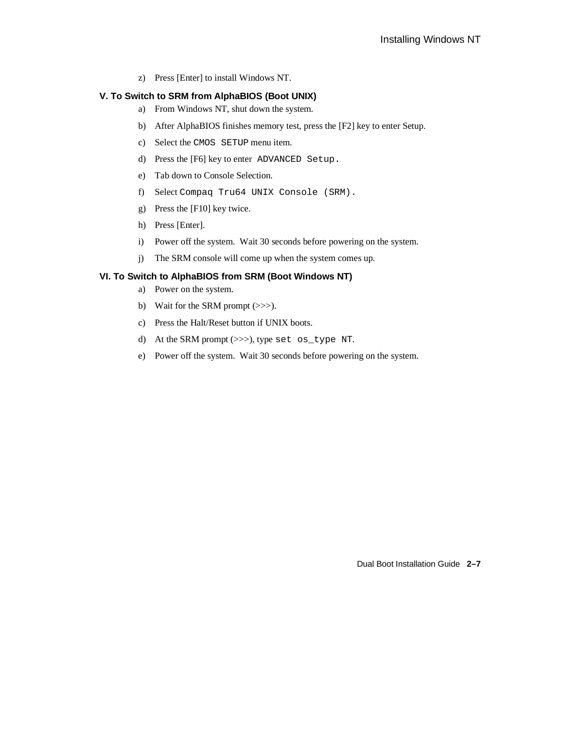z) Press [Enter] to install Windows NT.

#### **V. To Switch to SRM from AlphaBIOS (Boot UNIX)**

- a) From Windows NT, shut down the system.
- b) After AlphaBIOS finishes memory test, press the [F2] key to enter Setup.
- c) Select the CMOS SETUP menu item.
- d) Press the [F6] key to enter ADVANCED Setup.
- e) Tab down to Console Selection.
- f) Select Compaq Tru64 UNIX Console (SRM).
- g) Press the [F10] key twice.
- h) Press [Enter].
- i) Power off the system. Wait 30 seconds before powering on the system.
- j) The SRM console will come up when the system comes up.

#### **VI. To Switch to AlphaBIOS from SRM (Boot Windows NT)**

- a) Power on the system.
- b) Wait for the SRM prompt (>>>).
- c) Press the Halt/Reset button if UNIX boots.
- d) At the SRM prompt (>>>), type set os\_type NT.
- e) Power off the system. Wait 30 seconds before powering on the system.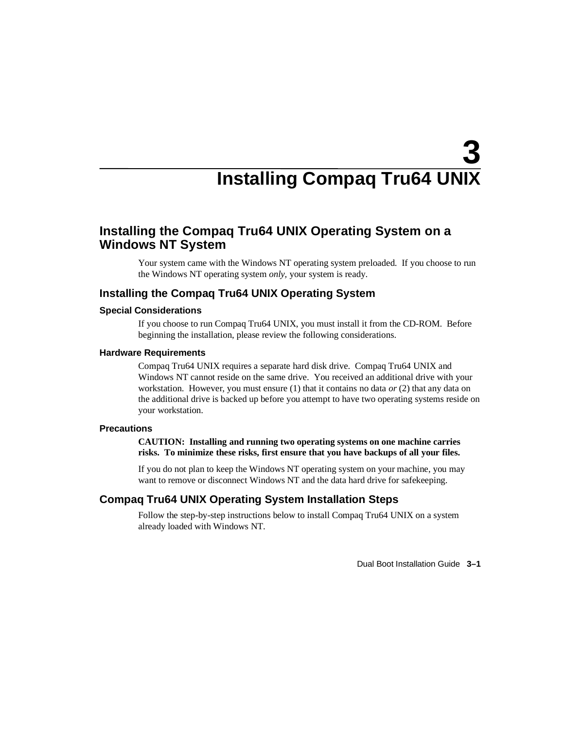# **3 Installing Compaq Tru64 UNIX**

# **Installing the Compaq Tru64 UNIX Operating System on a Windows NT System**

Your system came with the Windows NT operating system preloaded. If you choose to run the Windows NT operating system *only,* your system is ready.

### **Installing the Compaq Tru64 UNIX Operating System**

#### **Special Considerations**

If you choose to run Compaq Tru64 UNIX, you must install it from the CD-ROM. Before beginning the installation, please review the following considerations.

#### **Hardware Requirements**

Compaq Tru64 UNIX requires a separate hard disk drive. Compaq Tru64 UNIX and Windows NT cannot reside on the same drive. You received an additional drive with your workstation. However, you must ensure (1) that it contains no data *or* (2) that any data on the additional drive is backed up before you attempt to have two operating systems reside on your workstation.

#### **Precautions**

**CAUTION: Installing and running two operating systems on one machine carries risks. To minimize these risks, first ensure that you have backups of all your files.**

If you do not plan to keep the Windows NT operating system on your machine, you may want to remove or disconnect Windows NT and the data hard drive for safekeeping.

### **Compaq Tru64 UNIX Operating System Installation Steps**

Follow the step-by-step instructions below to install Compaq Tru64 UNIX on a system already loaded with Windows NT.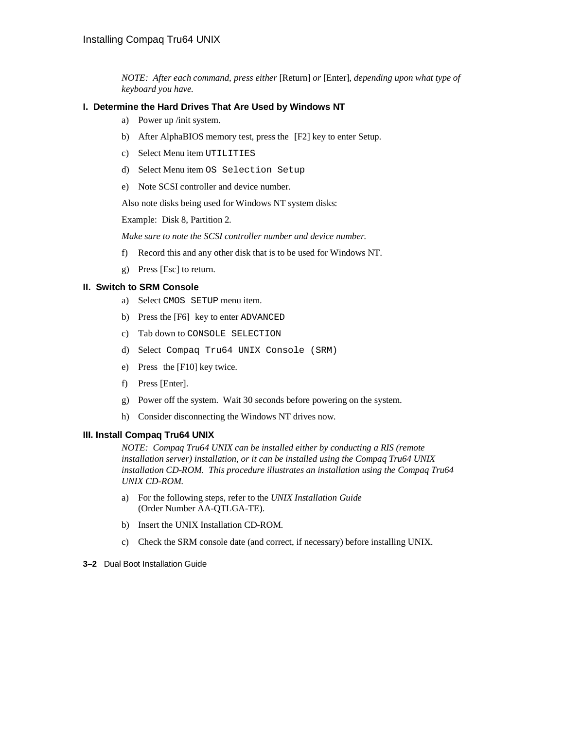*NOTE: After each command, press either* [Return] *or* [Enter], *depending upon what type of keyboard you have.*

#### **I. Determine the Hard Drives That Are Used by Windows NT**

- a) Power up /init system.
- b) After AlphaBIOS memory test, press the [F2] key to enter Setup.
- c) Select Menu item UTILITIES
- d) Select Menu item OS Selection Setup
- e) Note SCSI controller and device number.

Also note disks being used for Windows NT system disks:

Example: Disk 8, Partition 2.

*Make sure to note the SCSI controller number and device number.*

- f) Record this and any other disk that is to be used for Windows NT.
- g) Press [Esc] to return.

#### **II. Switch to SRM Console**

- a) Select CMOS SETUP menu item.
- b) Press the [F6] key to enter ADVANCED
- c) Tab down to CONSOLE SELECTION
- d) Select Compaq Tru64 UNIX Console (SRM)
- e) Press the [F10] key twice.
- f) Press [Enter].
- g) Power off the system. Wait 30 seconds before powering on the system.
- h) Consider disconnecting the Windows NT drives now.

#### **III. Install Compaq Tru64 UNIX**

*NOTE: Compaq Tru64 UNIX can be installed either by conducting a RIS (remote installation server) installation, or it can be installed using the Compaq Tru64 UNIX installation CD-ROM. This procedure illustrates an installation using the Compaq Tru64 UNIX CD-ROM.*

- a) For the following steps, refer to the *UNIX Installation Guide* (Order Number AA-QTLGA-TE).
- b) Insert the UNIX Installation CD-ROM.
- c) Check the SRM console date (and correct, if necessary) before installing UNIX.
- **3–2** Dual Boot Installation Guide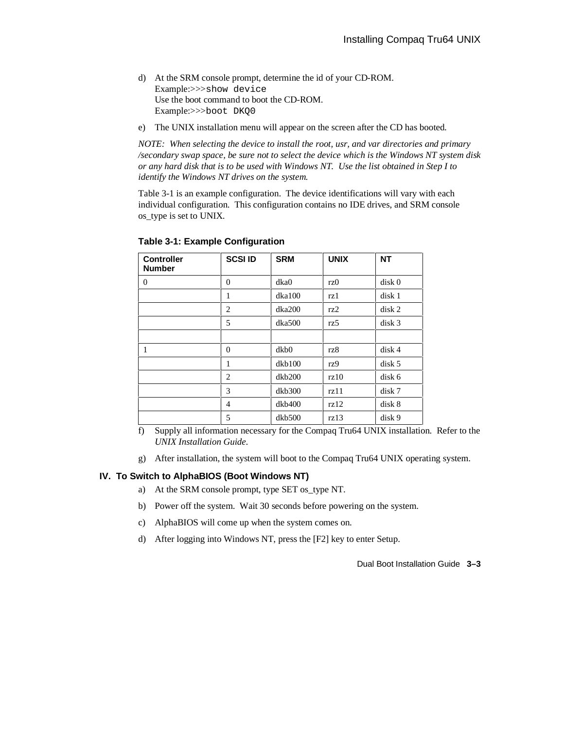- d) At the SRM console prompt, determine the id of your CD-ROM. Example:>>>show device Use the boot command to boot the CD-ROM. Example:>>>boot DKQ0
- e) The UNIX installation menu will appear on the screen after the CD has booted.

*NOTE: When selecting the device to install the root, usr, and var directories and primary /secondary swap space, be sure not to select the device which is the Windows NT system disk or any hard disk that is to be used with Windows NT. Use the list obtained in Step I to identify the Windows NT drives on the system.*

Table 3-1 is an example configuration. The device identifications will vary with each individual configuration. This configuration contains no IDE drives, and SRM console os\_type is set to UNIX.

| <b>Controller</b><br><b>Number</b> | <b>SCSIID</b>  | <b>SRM</b> | <b>UNIX</b> | <b>NT</b>         |
|------------------------------------|----------------|------------|-------------|-------------------|
| $\overline{0}$                     | $\theta$       | dka0       | rz0         | disk <sub>0</sub> |
|                                    | 1              | dka100     | rz 1        | disk 1            |
|                                    | $\overline{2}$ | dka200     | rz2         | disk <sub>2</sub> |
|                                    | 5              | dka500     | rz5         | disk <sub>3</sub> |
|                                    |                |            |             |                   |
| 1                                  | $\theta$       | dkb0       | rz8         | disk 4            |
|                                    | 1              | dkb100     | rz9         | disk <sub>5</sub> |
|                                    | 2              | dkb200     | rz10        | disk 6            |
|                                    | 3              | dkb300     | rz11        | disk 7            |
|                                    | 4              | dkb400     | rz12        | disk 8            |
|                                    | 5              | dkb500     | rz13        | disk 9            |

**Table 3-1: Example Configuration**

f) Supply all information necessary for the Compaq Tru64 UNIX installation. Refer to the *UNIX Installation Guide*.

g) After installation, the system will boot to the Compaq Tru64 UNIX operating system.

#### **IV. To Switch to AlphaBIOS (Boot Windows NT)**

- a) At the SRM console prompt, type SET os\_type NT.
- b) Power off the system. Wait 30 seconds before powering on the system.
- c) AlphaBIOS will come up when the system comes on.
- d) After logging into Windows NT, press the [F2] key to enter Setup.